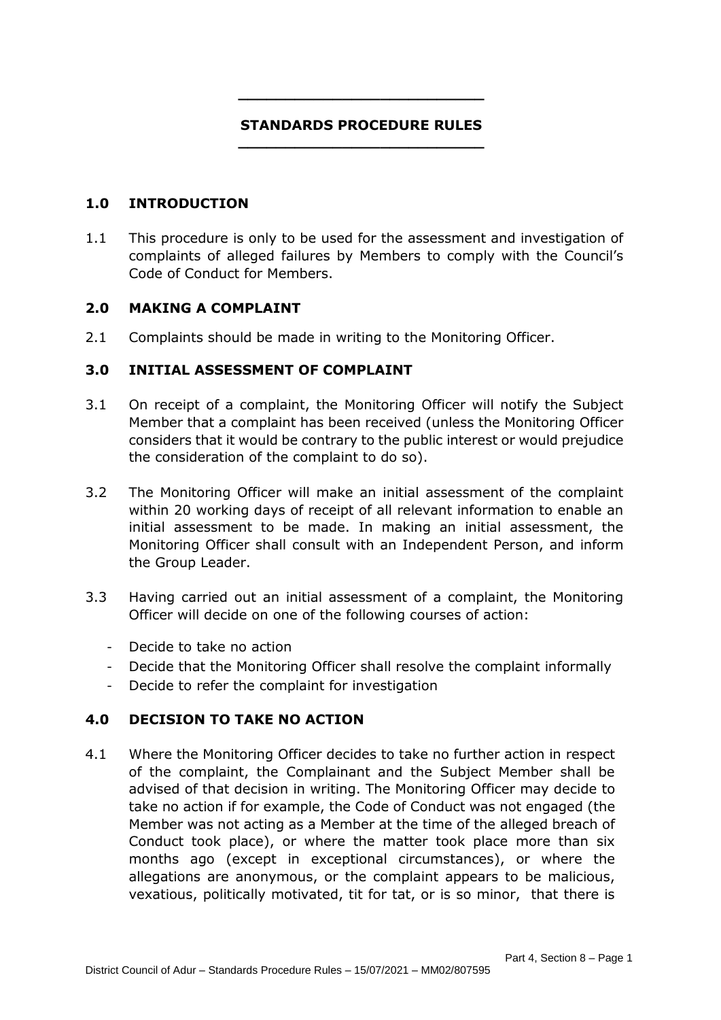### **STANDARDS PROCEDURE RULES \_\_\_\_\_\_\_\_\_\_\_\_\_\_\_\_\_\_\_\_\_\_\_\_\_\_**

**\_\_\_\_\_\_\_\_\_\_\_\_\_\_\_\_\_\_\_\_\_\_\_\_\_\_**

### **1.0 INTRODUCTION**

1.1 This procedure is only to be used for the assessment and investigation of complaints of alleged failures by Members to comply with the Council's Code of Conduct for Members.

### **2.0 MAKING A COMPLAINT**

2.1 Complaints should be made in writing to the Monitoring Officer.

### **3.0 INITIAL ASSESSMENT OF COMPLAINT**

- 3.1 On receipt of a complaint, the Monitoring Officer will notify the Subject Member that a complaint has been received (unless the Monitoring Officer considers that it would be contrary to the public interest or would prejudice the consideration of the complaint to do so).
- 3.2 The Monitoring Officer will make an initial assessment of the complaint within 20 working days of receipt of all relevant information to enable an initial assessment to be made. In making an initial assessment, the Monitoring Officer shall consult with an Independent Person, and inform the Group Leader.
- 3.3 Having carried out an initial assessment of a complaint, the Monitoring Officer will decide on one of the following courses of action:
	- ‐ Decide to take no action
	- ‐ Decide that the Monitoring Officer shall resolve the complaint informally
	- ‐ Decide to refer the complaint for investigation

# **4.0 DECISION TO TAKE NO ACTION**

4.1 Where the Monitoring Officer decides to take no further action in respect of the complaint, the Complainant and the Subject Member shall be advised of that decision in writing. The Monitoring Officer may decide to take no action if for example, the Code of Conduct was not engaged (the Member was not acting as a Member at the time of the alleged breach of Conduct took place), or where the matter took place more than six months ago (except in exceptional circumstances), or where the allegations are anonymous, or the complaint appears to be malicious, vexatious, politically motivated, tit for tat, or is so minor, that there is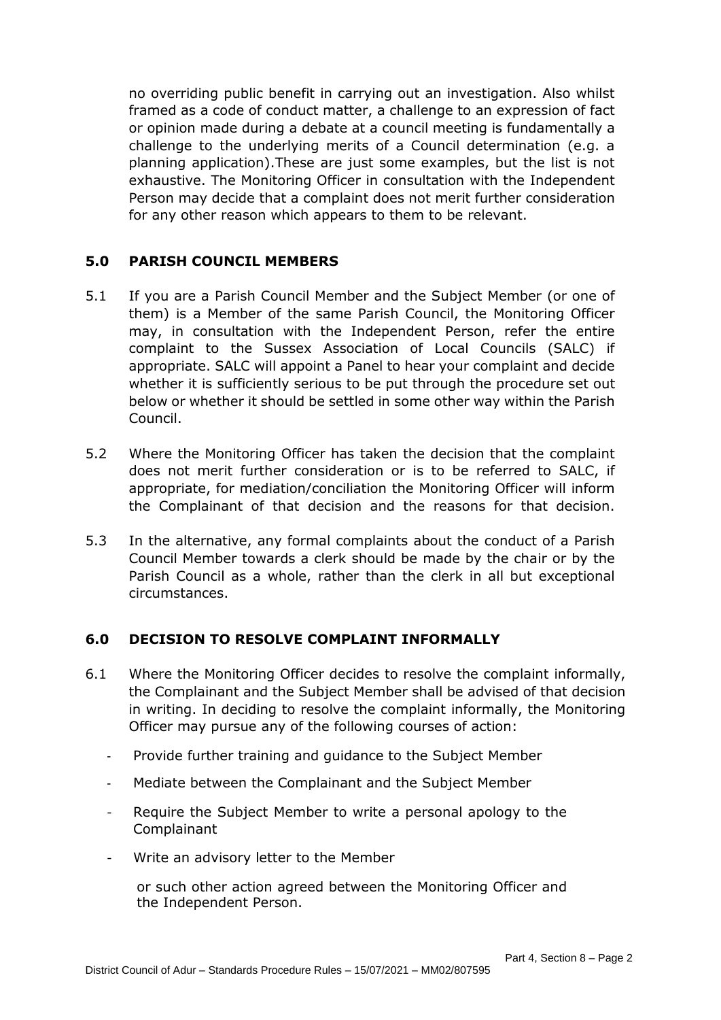no overriding public benefit in carrying out an investigation. Also whilst framed as a code of conduct matter, a challenge to an expression of fact or opinion made during a debate at a council meeting is fundamentally a challenge to the underlying merits of a Council determination (e.g. a planning application).These are just some examples, but the list is not exhaustive. The Monitoring Officer in consultation with the Independent Person may decide that a complaint does not merit further consideration for any other reason which appears to them to be relevant.

# **5.0 PARISH COUNCIL MEMBERS**

- 5.1 If you are a Parish Council Member and the Subject Member (or one of them) is a Member of the same Parish Council, the Monitoring Officer may, in consultation with the Independent Person, refer the entire complaint to the Sussex Association of Local Councils (SALC) if appropriate. SALC will appoint a Panel to hear your complaint and decide whether it is sufficiently serious to be put through the procedure set out below or whether it should be settled in some other way within the Parish Council.
- 5.2 Where the Monitoring Officer has taken the decision that the complaint does not merit further consideration or is to be referred to SALC, if appropriate, for mediation/conciliation the Monitoring Officer will inform the Complainant of that decision and the reasons for that decision.
- 5.3 In the alternative, any formal complaints about the conduct of a Parish Council Member towards a clerk should be made by the chair or by the Parish Council as a whole, rather than the clerk in all but exceptional circumstances.

# **6.0 DECISION TO RESOLVE COMPLAINT INFORMALLY**

- 6.1 Where the Monitoring Officer decides to resolve the complaint informally, the Complainant and the Subject Member shall be advised of that decision in writing. In deciding to resolve the complaint informally, the Monitoring Officer may pursue any of the following courses of action:
	- ‐ Provide further training and guidance to the Subject Member
	- ‐ Mediate between the Complainant and the Subject Member
	- Require the Subject Member to write a personal apology to the Complainant
	- ‐ Write an advisory letter to the Member

or such other action agreed between the Monitoring Officer and the Independent Person.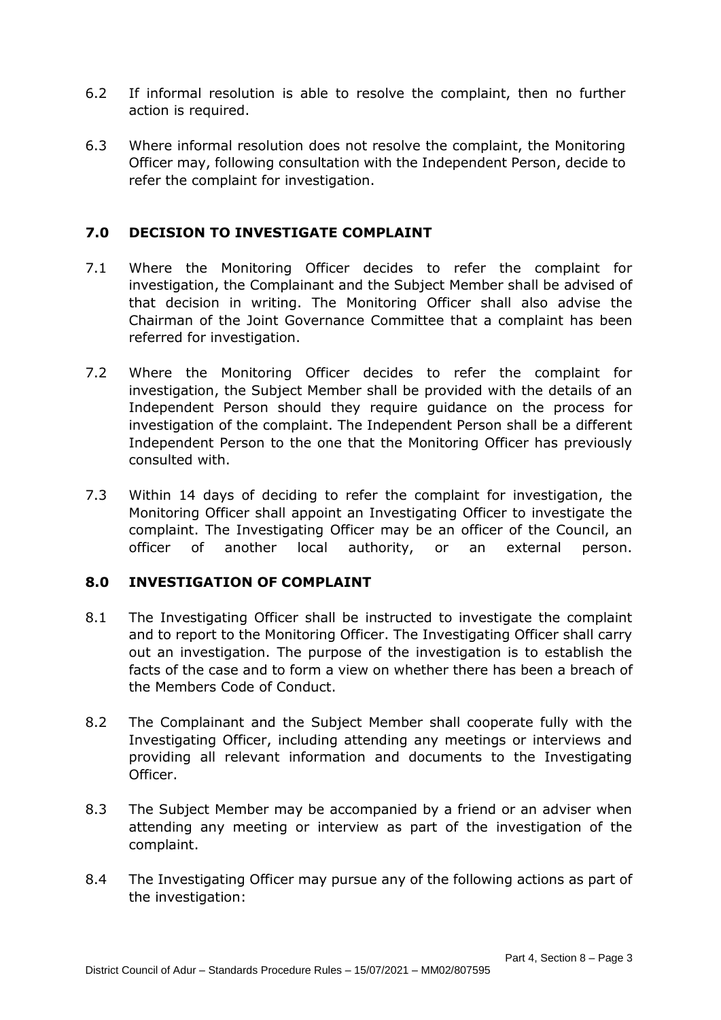- 6.2 If informal resolution is able to resolve the complaint, then no further action is required.
- 6.3 Where informal resolution does not resolve the complaint, the Monitoring Officer may, following consultation with the Independent Person, decide to refer the complaint for investigation.

# **7.0 DECISION TO INVESTIGATE COMPLAINT**

- 7.1 Where the Monitoring Officer decides to refer the complaint for investigation, the Complainant and the Subject Member shall be advised of that decision in writing. The Monitoring Officer shall also advise the Chairman of the Joint Governance Committee that a complaint has been referred for investigation.
- 7.2 Where the Monitoring Officer decides to refer the complaint for investigation, the Subject Member shall be provided with the details of an Independent Person should they require guidance on the process for investigation of the complaint. The Independent Person shall be a different Independent Person to the one that the Monitoring Officer has previously consulted with.
- 7.3 Within 14 days of deciding to refer the complaint for investigation, the Monitoring Officer shall appoint an Investigating Officer to investigate the complaint. The Investigating Officer may be an officer of the Council, an officer of another local authority, or an external person.

# **8.0 INVESTIGATION OF COMPLAINT**

- 8.1 The Investigating Officer shall be instructed to investigate the complaint and to report to the Monitoring Officer. The Investigating Officer shall carry out an investigation. The purpose of the investigation is to establish the facts of the case and to form a view on whether there has been a breach of the Members Code of Conduct.
- 8.2 The Complainant and the Subject Member shall cooperate fully with the Investigating Officer, including attending any meetings or interviews and providing all relevant information and documents to the Investigating Officer.
- 8.3 The Subject Member may be accompanied by a friend or an adviser when attending any meeting or interview as part of the investigation of the complaint.
- 8.4 The Investigating Officer may pursue any of the following actions as part of the investigation: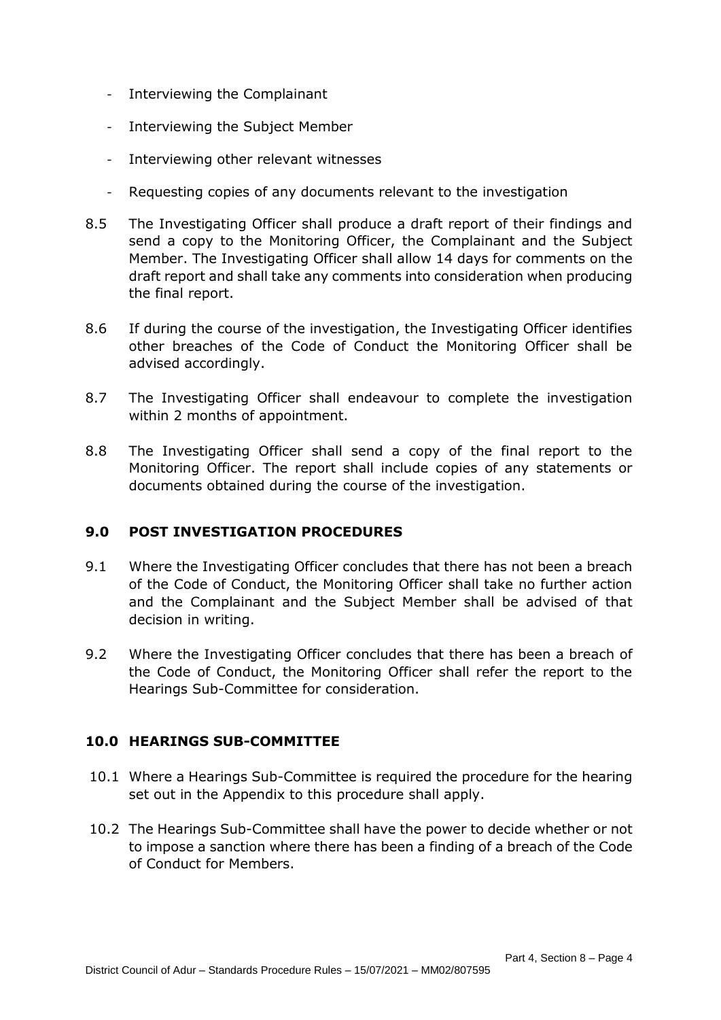- ‐ Interviewing the Complainant
- ‐ Interviewing the Subject Member
- ‐ Interviewing other relevant witnesses
- ‐ Requesting copies of any documents relevant to the investigation
- 8.5 The Investigating Officer shall produce a draft report of their findings and send a copy to the Monitoring Officer, the Complainant and the Subject Member. The Investigating Officer shall allow 14 days for comments on the draft report and shall take any comments into consideration when producing the final report.
- 8.6 If during the course of the investigation, the Investigating Officer identifies other breaches of the Code of Conduct the Monitoring Officer shall be advised accordingly.
- 8.7 The Investigating Officer shall endeavour to complete the investigation within 2 months of appointment.
- 8.8 The Investigating Officer shall send a copy of the final report to the Monitoring Officer. The report shall include copies of any statements or documents obtained during the course of the investigation.

# **9.0 POST INVESTIGATION PROCEDURES**

- 9.1 Where the Investigating Officer concludes that there has not been a breach of the Code of Conduct, the Monitoring Officer shall take no further action and the Complainant and the Subject Member shall be advised of that decision in writing.
- 9.2 Where the Investigating Officer concludes that there has been a breach of the Code of Conduct, the Monitoring Officer shall refer the report to the Hearings Sub-Committee for consideration.

### **10.0 HEARINGS SUB-COMMITTEE**

- 10.1 Where a Hearings Sub-Committee is required the procedure for the hearing set out in the Appendix to this procedure shall apply.
- 10.2 The Hearings Sub-Committee shall have the power to decide whether or not to impose a sanction where there has been a finding of a breach of the Code of Conduct for Members.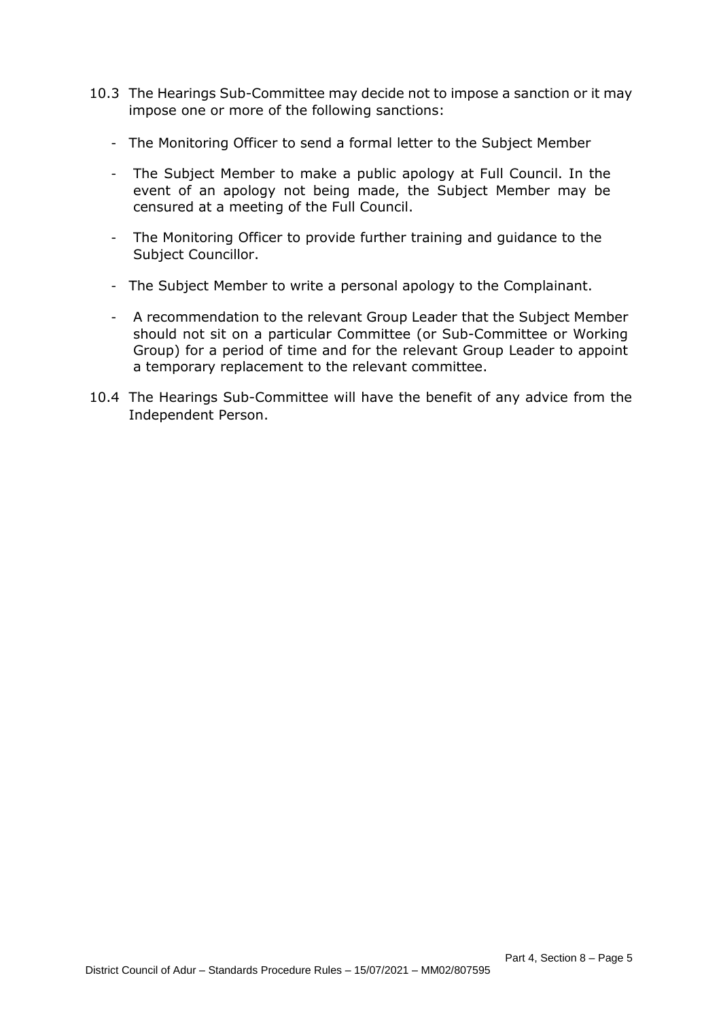- 10.3 The Hearings Sub-Committee may decide not to impose a sanction or it may impose one or more of the following sanctions:
	- ‐ The Monitoring Officer to send a formal letter to the Subject Member
	- ‐ The Subject Member to make a public apology at Full Council. In the event of an apology not being made, the Subject Member may be censured at a meeting of the Full Council.
	- ‐ The Monitoring Officer to provide further training and guidance to the Subject Councillor.
	- ‐ The Subject Member to write a personal apology to the Complainant.
	- ‐ A recommendation to the relevant Group Leader that the Subject Member should not sit on a particular Committee (or Sub-Committee or Working Group) for a period of time and for the relevant Group Leader to appoint a temporary replacement to the relevant committee.
- 10.4 The Hearings Sub-Committee will have the benefit of any advice from the Independent Person.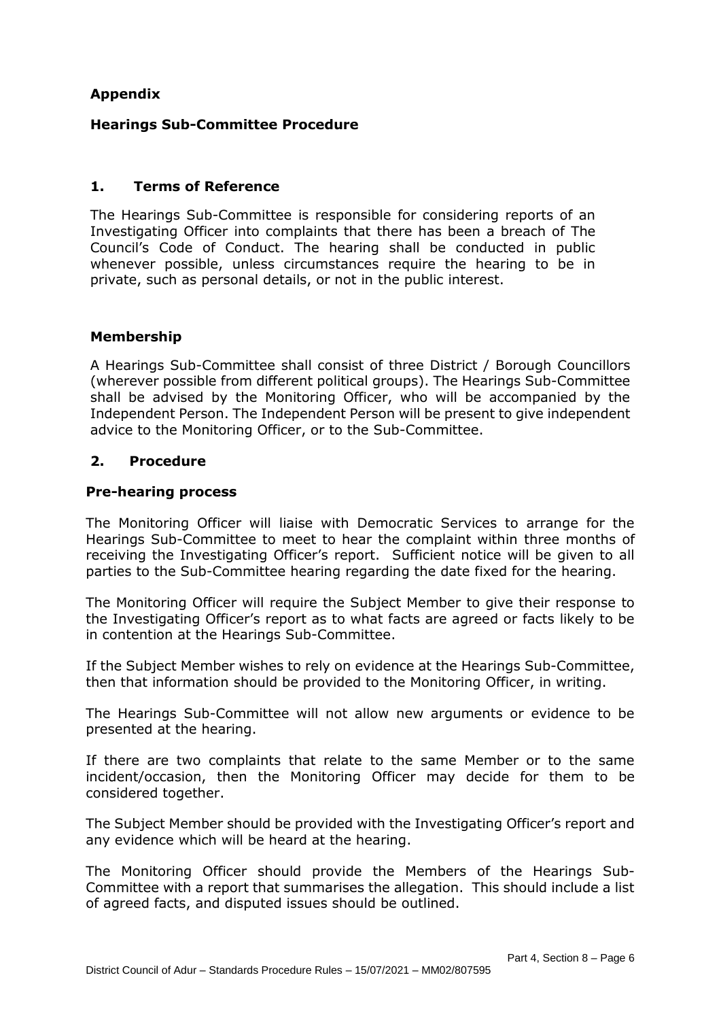# **Appendix**

# **Hearings Sub-Committee Procedure**

### **1. Terms of Reference**

The Hearings Sub-Committee is responsible for considering reports of an Investigating Officer into complaints that there has been a breach of The Council's Code of Conduct. The hearing shall be conducted in public whenever possible, unless circumstances require the hearing to be in private, such as personal details, or not in the public interest.

### **Membership**

A Hearings Sub-Committee shall consist of three District / Borough Councillors (wherever possible from different political groups). The Hearings Sub-Committee shall be advised by the Monitoring Officer, who will be accompanied by the Independent Person. The Independent Person will be present to give independent advice to the Monitoring Officer, or to the Sub-Committee.

### **2. Procedure**

### **Pre-hearing process**

The Monitoring Officer will liaise with Democratic Services to arrange for the Hearings Sub-Committee to meet to hear the complaint within three months of receiving the Investigating Officer's report. Sufficient notice will be given to all parties to the Sub-Committee hearing regarding the date fixed for the hearing.

The Monitoring Officer will require the Subject Member to give their response to the Investigating Officer's report as to what facts are agreed or facts likely to be in contention at the Hearings Sub-Committee.

If the Subject Member wishes to rely on evidence at the Hearings Sub-Committee, then that information should be provided to the Monitoring Officer, in writing.

The Hearings Sub-Committee will not allow new arguments or evidence to be presented at the hearing.

If there are two complaints that relate to the same Member or to the same incident/occasion, then the Monitoring Officer may decide for them to be considered together.

The Subject Member should be provided with the Investigating Officer's report and any evidence which will be heard at the hearing.

The Monitoring Officer should provide the Members of the Hearings Sub-Committee with a report that summarises the allegation. This should include a list of agreed facts, and disputed issues should be outlined.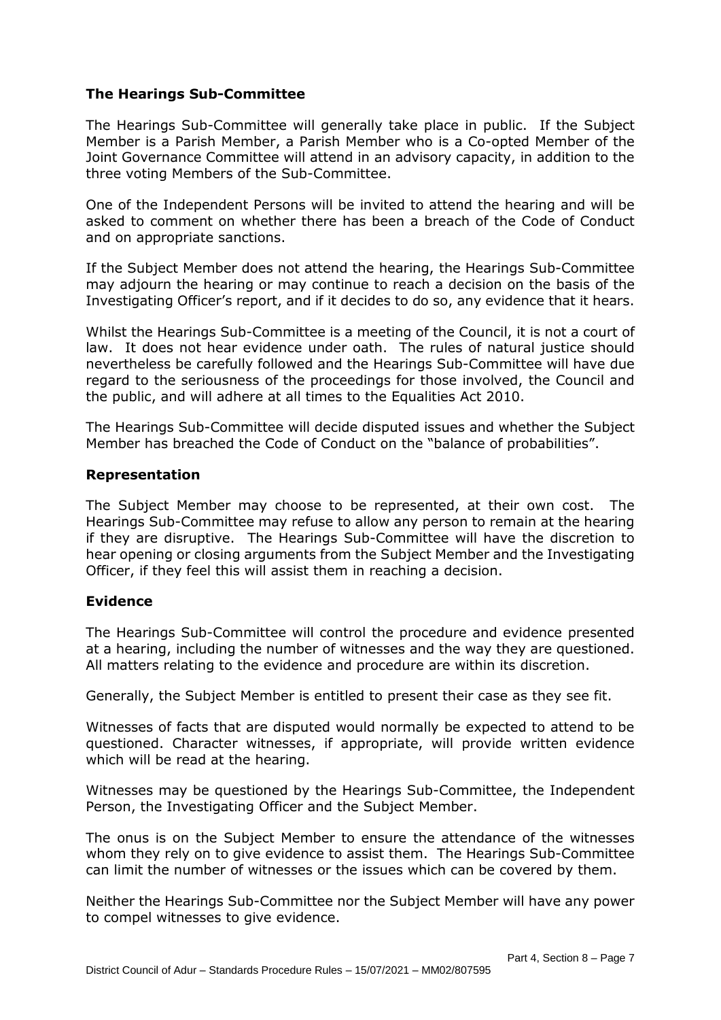# **The Hearings Sub-Committee**

The Hearings Sub-Committee will generally take place in public. If the Subject Member is a Parish Member, a Parish Member who is a Co-opted Member of the Joint Governance Committee will attend in an advisory capacity, in addition to the three voting Members of the Sub-Committee.

One of the Independent Persons will be invited to attend the hearing and will be asked to comment on whether there has been a breach of the Code of Conduct and on appropriate sanctions.

If the Subject Member does not attend the hearing, the Hearings Sub-Committee may adjourn the hearing or may continue to reach a decision on the basis of the Investigating Officer's report, and if it decides to do so, any evidence that it hears.

Whilst the Hearings Sub-Committee is a meeting of the Council, it is not a court of law. It does not hear evidence under oath. The rules of natural justice should nevertheless be carefully followed and the Hearings Sub-Committee will have due regard to the seriousness of the proceedings for those involved, the Council and the public, and will adhere at all times to the Equalities Act 2010.

The Hearings Sub-Committee will decide disputed issues and whether the Subject Member has breached the Code of Conduct on the "balance of probabilities".

### **Representation**

The Subject Member may choose to be represented, at their own cost. The Hearings Sub-Committee may refuse to allow any person to remain at the hearing if they are disruptive. The Hearings Sub-Committee will have the discretion to hear opening or closing arguments from the Subject Member and the Investigating Officer, if they feel this will assist them in reaching a decision.

### **Evidence**

The Hearings Sub-Committee will control the procedure and evidence presented at a hearing, including the number of witnesses and the way they are questioned. All matters relating to the evidence and procedure are within its discretion.

Generally, the Subject Member is entitled to present their case as they see fit.

Witnesses of facts that are disputed would normally be expected to attend to be questioned. Character witnesses, if appropriate, will provide written evidence which will be read at the hearing.

Witnesses may be questioned by the Hearings Sub-Committee, the Independent Person, the Investigating Officer and the Subject Member.

The onus is on the Subject Member to ensure the attendance of the witnesses whom they rely on to give evidence to assist them. The Hearings Sub-Committee can limit the number of witnesses or the issues which can be covered by them.

Neither the Hearings Sub-Committee nor the Subject Member will have any power to compel witnesses to give evidence.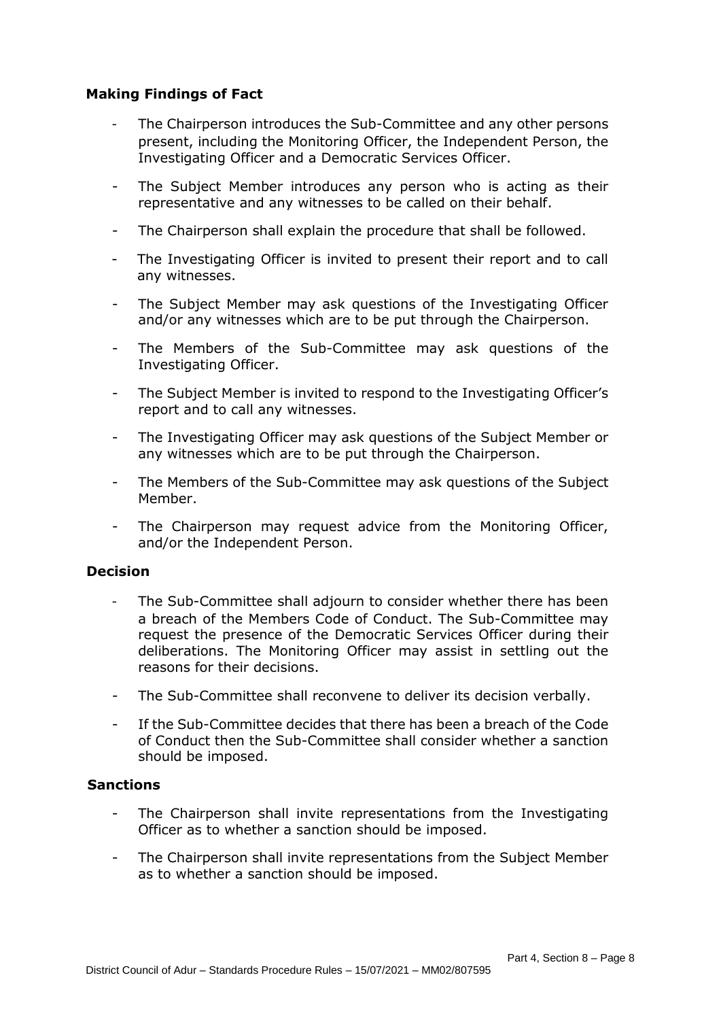# **Making Findings of Fact**

- The Chairperson introduces the Sub-Committee and any other persons present, including the Monitoring Officer, the Independent Person, the Investigating Officer and a Democratic Services Officer.
- The Subject Member introduces any person who is acting as their representative and any witnesses to be called on their behalf.
- The Chairperson shall explain the procedure that shall be followed.
- The Investigating Officer is invited to present their report and to call any witnesses.
- The Subject Member may ask questions of the Investigating Officer and/or any witnesses which are to be put through the Chairperson.
- The Members of the Sub-Committee may ask questions of the Investigating Officer.
- The Subject Member is invited to respond to the Investigating Officer's report and to call any witnesses.
- The Investigating Officer may ask questions of the Subject Member or any witnesses which are to be put through the Chairperson.
- The Members of the Sub-Committee may ask questions of the Subject Member.
- The Chairperson may request advice from the Monitoring Officer, and/or the Independent Person.

### **Decision**

- The Sub-Committee shall adjourn to consider whether there has been a breach of the Members Code of Conduct. The Sub-Committee may request the presence of the Democratic Services Officer during their deliberations. The Monitoring Officer may assist in settling out the reasons for their decisions.
- The Sub-Committee shall reconvene to deliver its decision verbally.
- If the Sub-Committee decides that there has been a breach of the Code of Conduct then the Sub-Committee shall consider whether a sanction should be imposed.

### **Sanctions**

- The Chairperson shall invite representations from the Investigating Officer as to whether a sanction should be imposed.
- The Chairperson shall invite representations from the Subject Member as to whether a sanction should be imposed.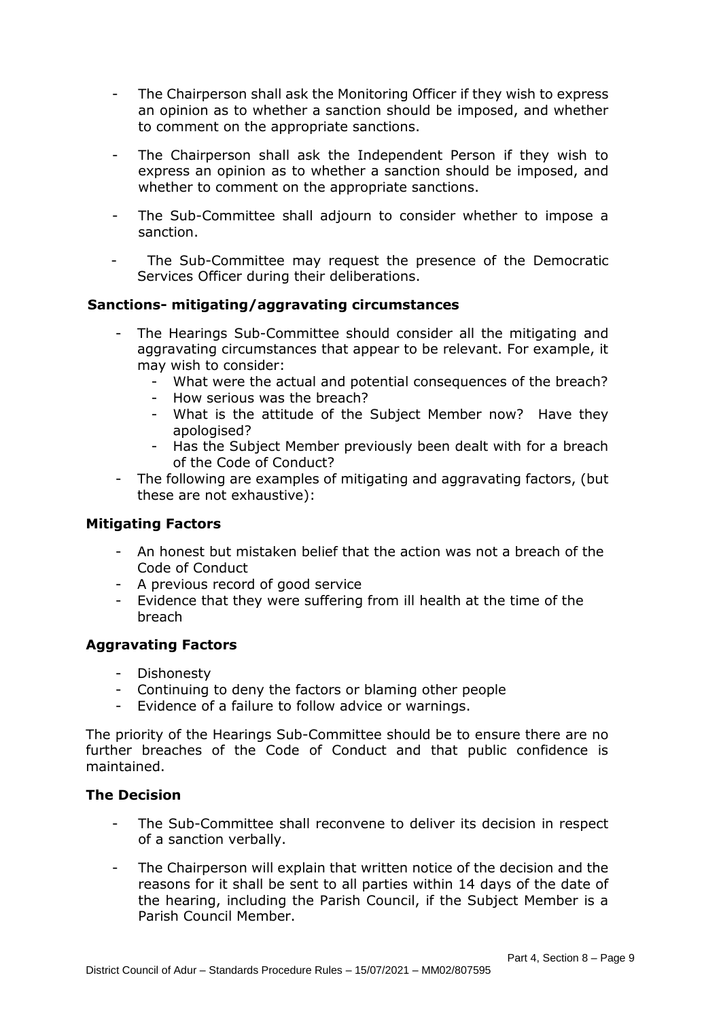- The Chairperson shall ask the Monitoring Officer if they wish to express an opinion as to whether a sanction should be imposed, and whether to comment on the appropriate sanctions.
- The Chairperson shall ask the Independent Person if they wish to express an opinion as to whether a sanction should be imposed, and whether to comment on the appropriate sanctions.
- The Sub-Committee shall adjourn to consider whether to impose a sanction.
- The Sub-Committee may request the presence of the Democratic Services Officer during their deliberations.

# **Sanctions- mitigating/aggravating circumstances**

- The Hearings Sub-Committee should consider all the mitigating and aggravating circumstances that appear to be relevant. For example, it may wish to consider:
	- What were the actual and potential consequences of the breach?
	- How serious was the breach?
	- What is the attitude of the Subject Member now? Have they apologised?
	- Has the Subject Member previously been dealt with for a breach of the Code of Conduct?
- The following are examples of mitigating and aggravating factors, (but these are not exhaustive):

# **Mitigating Factors**

- An honest but mistaken belief that the action was not a breach of the Code of Conduct
- A previous record of good service
- Evidence that they were suffering from ill health at the time of the breach

# **Aggravating Factors**

- Dishonesty
- Continuing to deny the factors or blaming other people
- Evidence of a failure to follow advice or warnings.

The priority of the Hearings Sub-Committee should be to ensure there are no further breaches of the Code of Conduct and that public confidence is maintained.

# **The Decision**

- The Sub-Committee shall reconvene to deliver its decision in respect of a sanction verbally.
- The Chairperson will explain that written notice of the decision and the reasons for it shall be sent to all parties within 14 days of the date of the hearing, including the Parish Council, if the Subject Member is a Parish Council Member.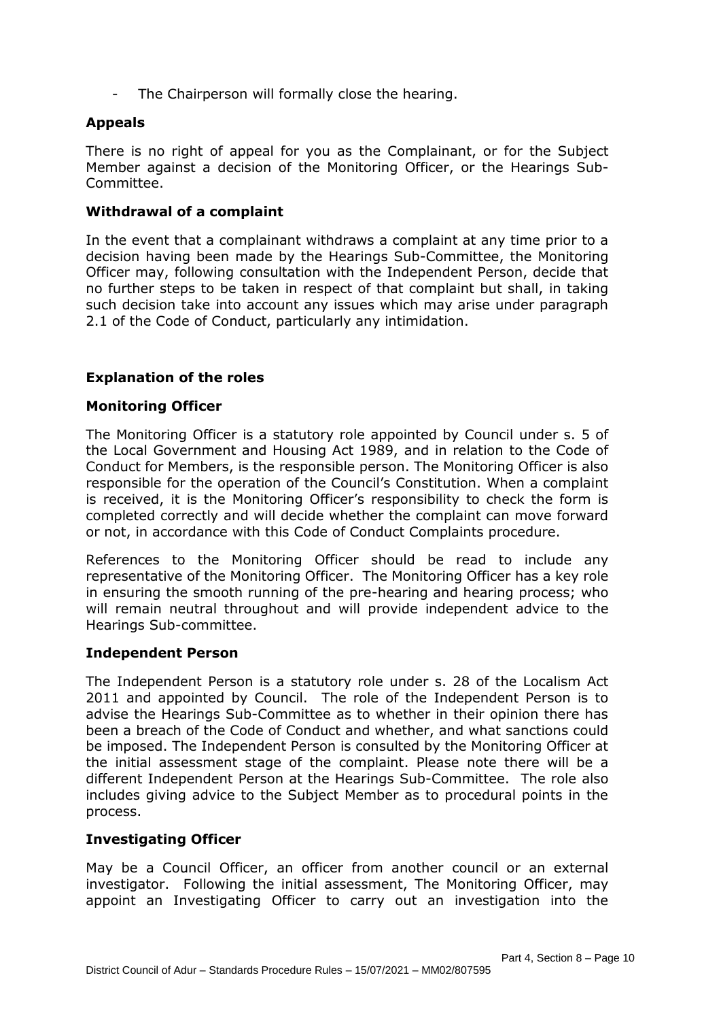The Chairperson will formally close the hearing.

### **Appeals**

There is no right of appeal for you as the Complainant, or for the Subject Member against a decision of the Monitoring Officer, or the Hearings Sub-Committee.

### **Withdrawal of a complaint**

In the event that a complainant withdraws a complaint at any time prior to a decision having been made by the Hearings Sub-Committee, the Monitoring Officer may, following consultation with the Independent Person, decide that no further steps to be taken in respect of that complaint but shall, in taking such decision take into account any issues which may arise under paragraph 2.1 of the Code of Conduct, particularly any intimidation.

### **Explanation of the roles**

### **Monitoring Officer**

The Monitoring Officer is a statutory role appointed by Council under s. 5 of the Local Government and Housing Act 1989, and in relation to the Code of Conduct for Members, is the responsible person. The Monitoring Officer is also responsible for the operation of the Council's Constitution. When a complaint is received, it is the Monitoring Officer's responsibility to check the form is completed correctly and will decide whether the complaint can move forward or not, in accordance with this Code of Conduct Complaints procedure.

References to the Monitoring Officer should be read to include any representative of the Monitoring Officer. The Monitoring Officer has a key role in ensuring the smooth running of the pre-hearing and hearing process; who will remain neutral throughout and will provide independent advice to the Hearings Sub-committee.

### **Independent Person**

The Independent Person is a statutory role under s. 28 of the Localism Act 2011 and appointed by Council. The role of the Independent Person is to advise the Hearings Sub-Committee as to whether in their opinion there has been a breach of the Code of Conduct and whether, and what sanctions could be imposed. The Independent Person is consulted by the Monitoring Officer at the initial assessment stage of the complaint. Please note there will be a different Independent Person at the Hearings Sub-Committee. The role also includes giving advice to the Subject Member as to procedural points in the process.

### **Investigating Officer**

May be a Council Officer, an officer from another council or an external investigator. Following the initial assessment, The Monitoring Officer, may appoint an Investigating Officer to carry out an investigation into the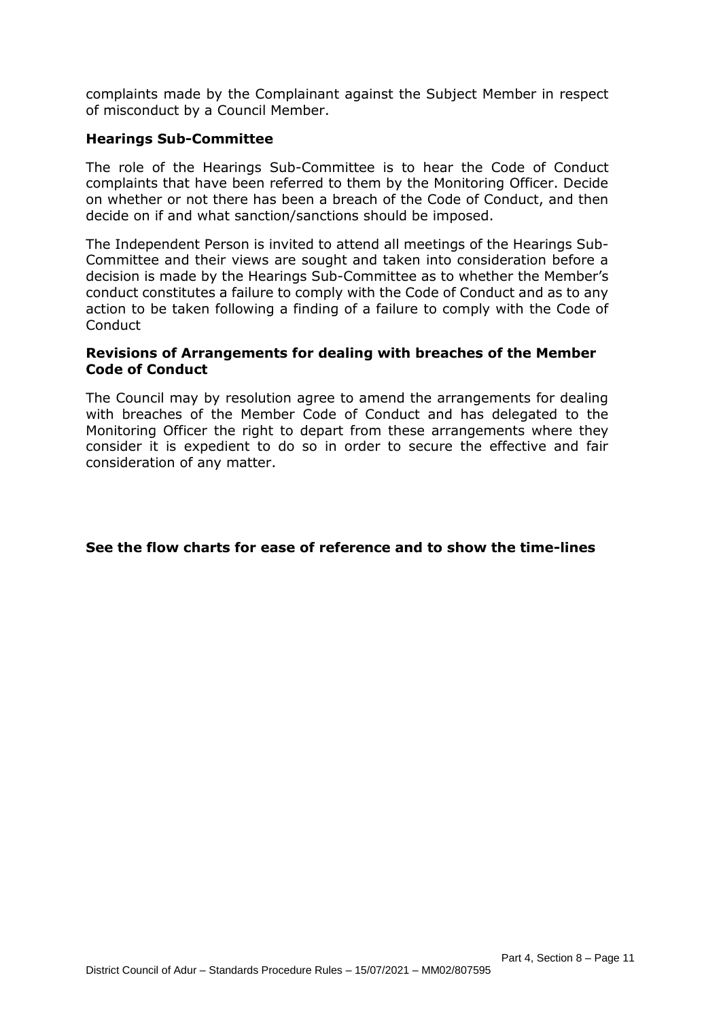complaints made by the Complainant against the Subject Member in respect of misconduct by a Council Member.

### **Hearings Sub-Committee**

The role of the Hearings Sub-Committee is to hear the Code of Conduct complaints that have been referred to them by the Monitoring Officer. Decide on whether or not there has been a breach of the Code of Conduct, and then decide on if and what sanction/sanctions should be imposed.

The Independent Person is invited to attend all meetings of the Hearings Sub-Committee and their views are sought and taken into consideration before a decision is made by the Hearings Sub-Committee as to whether the Member's conduct constitutes a failure to comply with the Code of Conduct and as to any action to be taken following a finding of a failure to comply with the Code of Conduct

### **Revisions of Arrangements for dealing with breaches of the Member Code of Conduct**

The Council may by resolution agree to amend the arrangements for dealing with breaches of the Member Code of Conduct and has delegated to the Monitoring Officer the right to depart from these arrangements where they consider it is expedient to do so in order to secure the effective and fair consideration of any matter.

### **See the flow charts for ease of reference and to show the time-lines**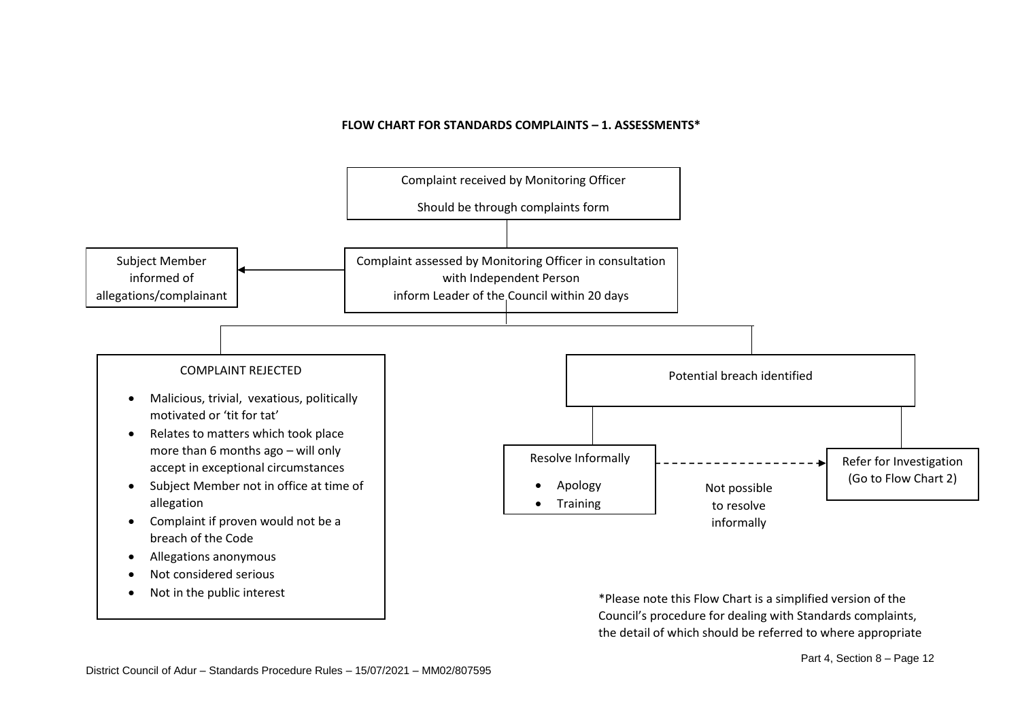#### **FLOW CHART FOR STANDARDS COMPLAINTS – 1. ASSESSMENTS\***



\*Please note this Flow Chart is a simplified version of the Council's procedure for dealing with Standards complaints, the detail of which should be referred to where appropriate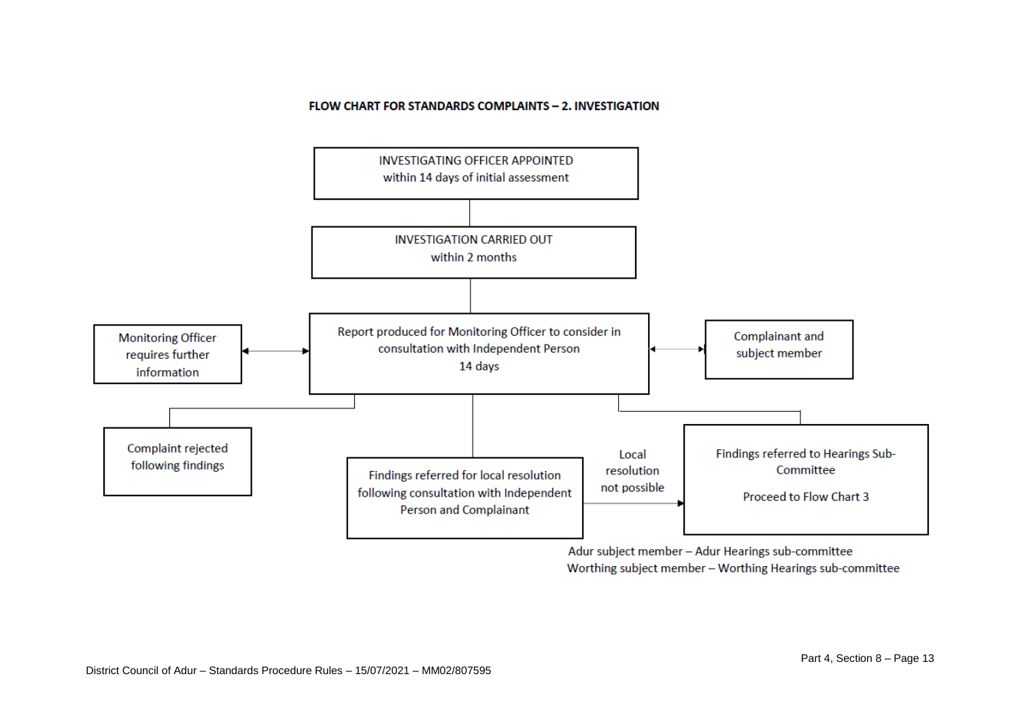#### FLOW CHART FOR STANDARDS COMPLAINTS - 2. INVESTIGATION



Adur subject member - Adur Hearings sub-committee Worthing subject member - Worthing Hearings sub-committee